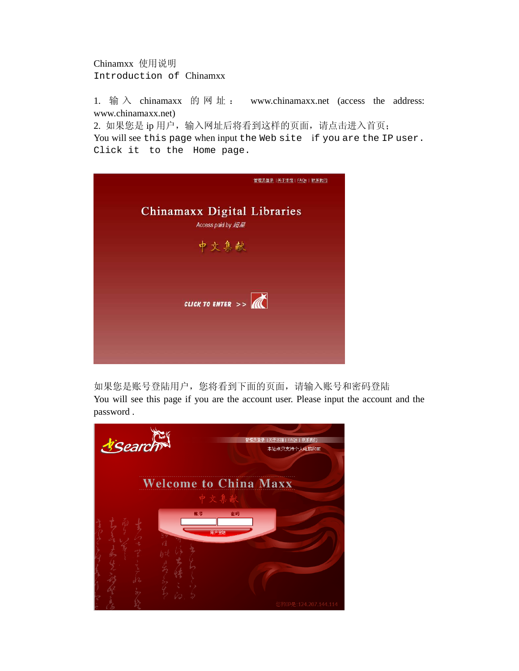Chinamxx 使用说明 Introduction of Chinamxx

1. 输  $\lambda$  chinamaxx 的 网 址 : www.chinamaxx.net (access the address: www.chinamaxx.net)

2. 如果您是 ip 用户, 输入网址后将看到这样的页面, 请点击进入首页; You will see this page when input the Web site if you are the IP user. Click it to the Home page.



如果您是账号登陆用户,您将看到下面的页面,请输入账号和密码登陆 You will see this page if you are the account user. Please input the account and the password .

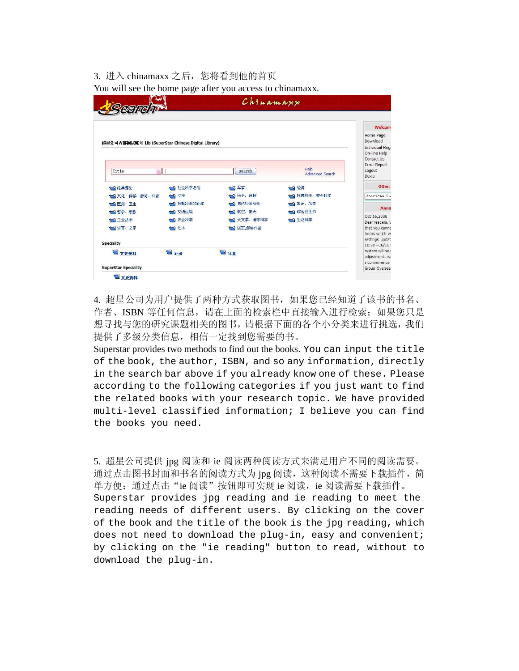## 3. 讲入 chinamaxx 之后, 您将看到他的首页 You will see the home page after you access to chinamaxx.

| Search                                             |           | Chinamaxx          |                         |                                                                                               |
|----------------------------------------------------|-----------|--------------------|-------------------------|-----------------------------------------------------------------------------------------------|
|                                                    |           |                    |                         | <b>Welcom</b>                                                                                 |
| 超星公司内部测试账号 Lib (SuperStar Chinese Digital Library) |           |                    |                         | Home Page<br>Download<br><b>Individual Regi</b><br>On-line Help<br>Contact Us<br>Error Report |
| Title<br>$\downarrow$                              |           | Search             | Help<br>Advanced Search | Logout<br>Duxiu                                                                               |
| 3经典理论                                              | 7 社会科学总论  | □ 军事               | 1 经济                    | <b>Other</b>                                                                                  |
| い文化、科学、教育、体育                                       | 1文学       | 7历史、地理             | 3 环境科学、安全科学             | American En                                                                                   |
| <b>心医药、卫生</b>                                      | 1 数理科学和化学 | 7 自然科学总论           | 一、政治、法律                 |                                                                                               |
| 一 哲学、宗教                                            | 17 交通运输   | 7 航空、航天            | 1 综合性图书                 | Anno                                                                                          |
| 山工业技术                                              | □ 农业科学    | 1 天文学、地球科学         | せい 生物科学                 | Oct 16,2008<br>Dear readers, V                                                                |
| ■语言、文字                                             | 司艺术       | <b>tal 居正 邹鲁作品</b> |                         | that you canno<br>books which w.                                                              |
| <b>Speciality</b>                                  |           |                    |                         | settings' updat<br>$16:30 - 16/10$                                                            |
| ■文史资料                                              | 国经济       | 日年签                |                         | system will be r<br>adjustment, we<br>inconvenience:                                          |

4. 超星公司为用户提供了两种方式获取图书,如果您已经知道了该书的书名、 作者、ISBN 等任何信息,请在上面的检索栏中直接输入进行检索;如果您只是 想寻找与您的研究课题相关的图书,请根据下面的各个小分类来进行挑选,我们 提供了多级分类信息,相信一定找到您需要的书。

Superstar provides two methods to find out the books. You can input the title of the book, the author, ISBN, and so any information, directly in the search bar above if you already know one of these. Please according to the following categories if you just want to find the related books with your research topic. We have provided multi-level classified information; I believe you can find the books you need.

5. 超星公司提供 jpg 阅读和 ie 阅读两种阅读方式来满足用户不同的阅读需要。 通过点击图书封面和书名的阅读方式为 jpg 阅读, 这种阅读不需要下载插件, 简 单方便; 通过点击"ie 阅读"按钮即可实现 ie 阅读, ie 阅读需要下载插件。 Superstar provides jpg reading and ie reading to meet the reading needs of different users. By clicking on the cover of the book and the title of the book is the jpg reading, which does not need to download the plug-in, easy and convenient; by clicking on the "ie reading" button to read, without to download the plug-in.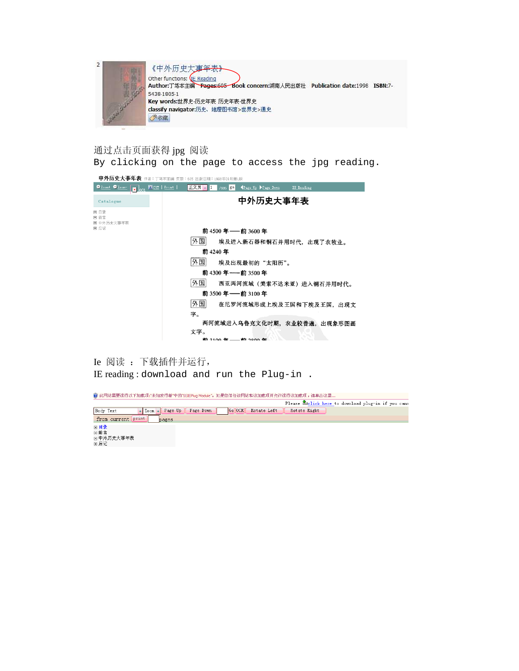

通过点击页面获得 jpg 阅读 By clicking on the page to access the jpg reading.

| 中外历史大事年表 作者:丁笃本主编 页数:605 出版日期:1998年09月第1版                             |                            |                                |            |  |
|-----------------------------------------------------------------------|----------------------------|--------------------------------|------------|--|
| $Q_{\text{Zoom}}$ $Q_{\text{Zoom}}$<br>$\overline{\mathbf{x}}$ $\log$ | Mcur   Print  <br>Ⅱ正文页 ↓ 1 | $7605$ go<br>Tage Up Page Down | IE Reading |  |
| Catalogue                                                             |                            |                                | 中外历史大事年表   |  |
| □ 日录<br>日前言<br>□ 中外历史大亊年表                                             |                            |                                |            |  |
| ■ 后记                                                                  |                            | 前 4500 年––前 3600 年             |            |  |
|                                                                       | 外国                         | 埃及进入新石器和铜石并用时代,出现了农牧业。         |            |  |
|                                                                       |                            | 前 4240 年                       |            |  |
|                                                                       | 外国                         | 埃及出现最初的"太阳历"。                  |            |  |
|                                                                       |                            | 前 4300 年——前 3500 年             |            |  |
|                                                                       | 外国                         | 西亚两河流域(美索不达米亚)进入铜石并用时代。        |            |  |
|                                                                       |                            | 前 3500 年 — 前 3100 年            |            |  |
|                                                                       | 外国                         | 在尼罗河流域形成上埃及王国和下埃及王国, 出现文       |            |  |
|                                                                       | 字。                         |                                |            |  |
|                                                                       |                            | 两河流域进入乌鲁克文化时期,农业较普遍,出现象形图画     |            |  |
|                                                                       | 文字。                        |                                |            |  |
|                                                                       |                            | 前 2100 年——前 2900 年             |            |  |

Ie 阅读 :下载插件并运行, IE reading : download and run the Plug-in .

◎ 此网站需要运行以下加载项:"未知发行者"中的"SSIEPlug Module"。如果您信任该网站和该加载项并允许运行该加载项,请单击这里...

Please *Lelick* here to download plug-in if you cann I Room + Page Up | Page Down | Go OCR | Rotate Left | Rotate Right Body Text from current print pages 回目录 □□前言<br>□前言<br>□中外历史大事年表<br>□后记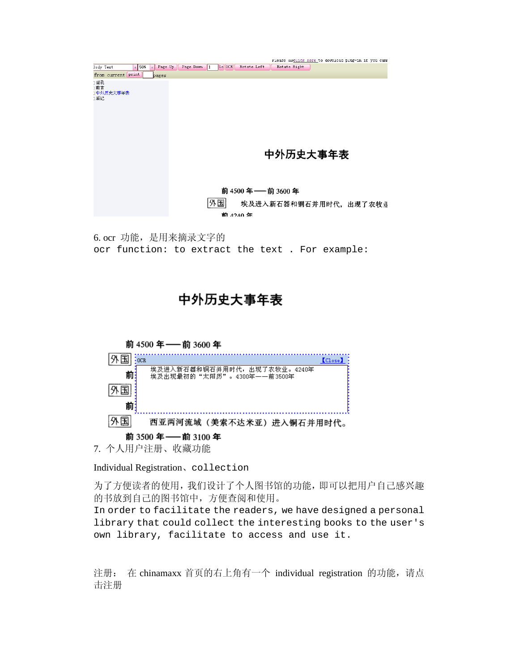|                                                                         |     |         |           |             |             |                 |              | riease amounck nere to download piug-in it you canr |
|-------------------------------------------------------------------------|-----|---------|-----------|-------------|-------------|-----------------|--------------|-----------------------------------------------------|
| Body Text                                                               | 50% | Page Up | Page Down | Go OCR<br>1 | Rotate Left |                 | Rotate Right |                                                     |
| from current print                                                      |     | pages   |           |             |             |                 |              |                                                     |
| 1目录<br>1前言<br>1中外历史大事年表<br>1后记                                          |     |         |           |             |             |                 |              |                                                     |
|                                                                         |     |         |           |             |             |                 | 中外历史大事年表     |                                                     |
|                                                                         |     |         |           | 外国          | 前 4240 年    | 前4500年 - 前3600年 |              | 埃及进入新石器和铜石并用时代, 出现了农牧业                              |
| 6. ocr 功能, 是用来摘录文字的<br>ocr function: to extract the text . For example: |     |         |           |             |             |                 |              |                                                     |

## 中外历史大事年表



Individual Registration、collection

为了方便读者的使用,我们设计了个人图书馆的功能,即可以把用户自己感兴趣 的书放到自己的图书馆中,方便查阅和使用。

In order to facilitate the readers, we have designed a personal library that could collect the interesting books to the user's own library, facilitate to access and use it.

注册: 在 chinamaxx 首页的右上角有一个 individual registration 的功能, 请点 击注册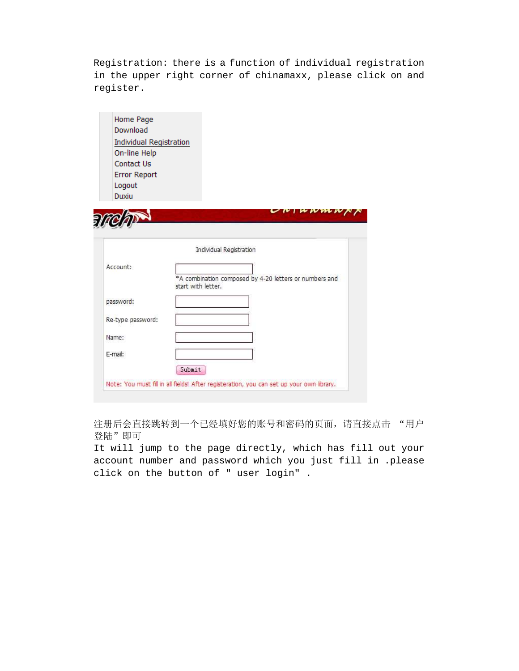Registration: there is a function of individual registration in the upper right corner of chinamaxx, please click on and register.

| Home Page                      |                                                                                          |
|--------------------------------|------------------------------------------------------------------------------------------|
| Download                       |                                                                                          |
| <b>Individual Registration</b> |                                                                                          |
| On-line Help                   |                                                                                          |
| Contact Us                     |                                                                                          |
| <b>Error Report</b>            |                                                                                          |
| Logout                         |                                                                                          |
| Duxiu                          |                                                                                          |
|                                | UN                                                                                       |
| ₹                              |                                                                                          |
|                                |                                                                                          |
|                                |                                                                                          |
|                                | Individual Registration                                                                  |
| Account:                       |                                                                                          |
|                                | *A combination composed by 4-20 letters or numbers and<br>start with letter.             |
|                                |                                                                                          |
| password:                      |                                                                                          |
| Re-type password:              |                                                                                          |
|                                |                                                                                          |
| Name:                          |                                                                                          |
|                                |                                                                                          |
| E-mail:                        |                                                                                          |
|                                | Submit                                                                                   |
|                                | Note: You must fill in all fields! After registeration, you can set up your own library. |
|                                |                                                                                          |

注册后会直接跳转到一个已经填好您的账号和密码的页面,请直接点击"用户 登陆"即可

It will jump to the page directly, which has fill out your account number and password which you just fill in .please click on the button of " user login" .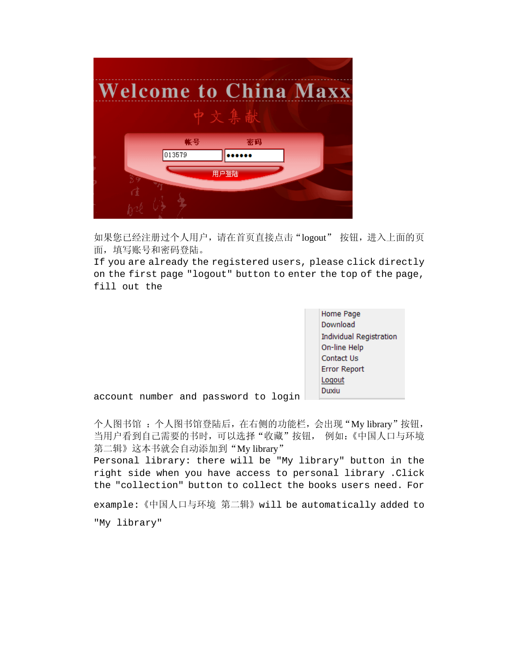

如果您已经注册过个人用户,请在首页直接点击"logout" 按钮,进入上面的页 面,填写账号和密码登陆。

If you are already the registered users, please click directly on the first page "logout" button to enter the top of the page, fill out the

> Home Page Download **Individual Registration** On-line Help **Contact Us Error Report** Logout Duxiu

account number and password to login

个人图书馆,这陆后,在右侧的功能栏,会出现"My library"按钮, 当用户看到自己需要的书时,可以选择"收藏"按钮, 例如:《中国人口与环境 第二辑》这本书就会自动添加到"My library"

Personal library: there will be "My library" button in the right side when you have access to personal library .Click the "collection" button to collect the books users need. For

example:《中国人口与环境 第二辑》will be automatically added to "My library"